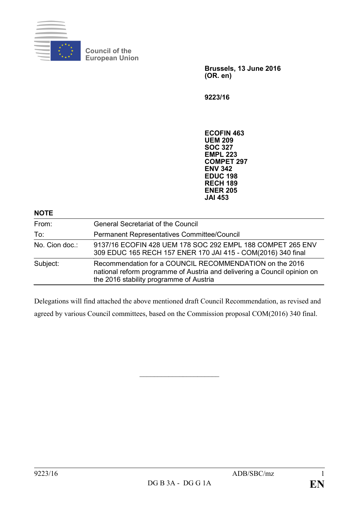

**Council of the European Union**

> **Brussels, 13 June 2016 (OR. en)**

**9223/16**

**ECOFIN 463 UEM 209 SOC 327 EMPL 223 COMPET 297 ENV 342 EDUC 198 RECH 189 ENER 205 JAI 453**

| <b>NOTE</b>    |                                                                                                                                                                                |
|----------------|--------------------------------------------------------------------------------------------------------------------------------------------------------------------------------|
| From:          | <b>General Secretariat of the Council</b>                                                                                                                                      |
| To:            | Permanent Representatives Committee/Council                                                                                                                                    |
| No. Cion doc.: | 9137/16 ECOFIN 428 UEM 178 SOC 292 EMPL 188 COMPET 265 ENV<br>309 EDUC 165 RECH 157 ENER 170 JAI 415 - COM(2016) 340 final                                                     |
| Subject:       | Recommendation for a COUNCIL RECOMMENDATION on the 2016<br>national reform programme of Austria and delivering a Council opinion on<br>the 2016 stability programme of Austria |

Delegations will find attached the above mentioned draft Council Recommendation, as revised and agreed by various Council committees, based on the Commission proposal COM(2016) 340 final.

 $\overline{\phantom{a}}$  , which is a set of the set of the set of the set of the set of the set of the set of the set of the set of the set of the set of the set of the set of the set of the set of the set of the set of the set of th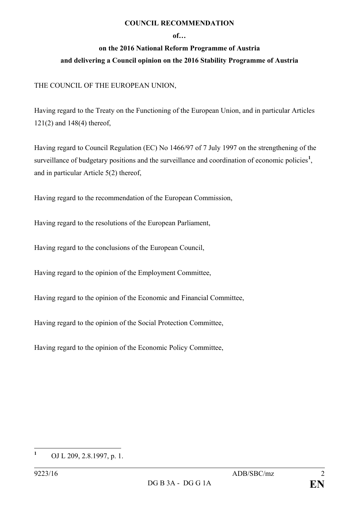## **COUNCIL RECOMMENDATION**

## **of…**

## **on the 2016 National Reform Programme of Austria and delivering a Council opinion on the 2016 Stability Programme of Austria**

## THE COUNCIL OF THE EUROPEAN UNION,

Having regard to the Treaty on the Functioning of the European Union, and in particular Articles 121(2) and 148(4) thereof,

Having regard to Council Regulation (EC) No 1466/97 of 7 July 1997 on the strengthening of the surveillance of budgetary positions and the surveillance and coordination of economic policies<sup>[1](#page-1-0)</sup>, and in particular Article 5(2) thereof,

Having regard to the recommendation of the European Commission,

Having regard to the resolutions of the European Parliament,

Having regard to the conclusions of the European Council,

Having regard to the opinion of the Employment Committee,

Having regard to the opinion of the Economic and Financial Committee,

Having regard to the opinion of the Social Protection Committee,

Having regard to the opinion of the Economic Policy Committee,

<span id="page-1-0"></span>**<sup>1</sup>** OJ L 209, 2.8.1997, p. 1.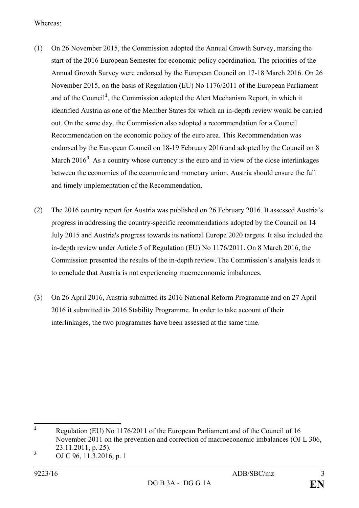Whereas:

- (1) On 26 November 2015, the Commission adopted the Annual Growth Survey, marking the start of the 2016 European Semester for economic policy coordination. The priorities of the Annual Growth Survey were endorsed by the European Council on 17-18 March 2016. On 26 November 2015, on the basis of Regulation (EU) No 1176/2011 of the European Parliament and of the Council**[2](#page-2-0)** , the Commission adopted the Alert Mechanism Report, in which it identified Austria as one of the Member States for which an in-depth review would be carried out. On the same day, the Commission also adopted a recommendation for a Council Recommendation on the economic policy of the euro area. This Recommendation was endorsed by the European Council on 18-19 February 2016 and adopted by the Council on 8 March 2016<sup>[3](#page-2-1)</sup>. As a country whose currency is the euro and in view of the close interlinkages between the economies of the economic and monetary union, Austria should ensure the full and timely implementation of the Recommendation.
- (2) The 2016 country report for Austria was published on 26 February 2016. It assessed Austria's progress in addressing the country-specific recommendations adopted by the Council on 14 July 2015 and Austria's progress towards its national Europe 2020 targets. It also included the in-depth review under Article 5 of Regulation (EU) No 1176/2011. On 8 March 2016, the Commission presented the results of the in-depth review. The Commission's analysis leads it to conclude that Austria is not experiencing macroeconomic imbalances.
- (3) On 26 April 2016, Austria submitted its 2016 National Reform Programme and on 27 April 2016 it submitted its 2016 Stability Programme. In order to take account of their interlinkages, the two programmes have been assessed at the same time.

<span id="page-2-0"></span>**<sup>2</sup>** Regulation (EU) No 1176/2011 of the European Parliament and of the Council of 16 November 2011 on the prevention and correction of macroeconomic imbalances (OJ L 306, 23.11.2011, p. 25).

<span id="page-2-1"></span>**<sup>3</sup>** OJ C 96, 11.3.2016, p. 1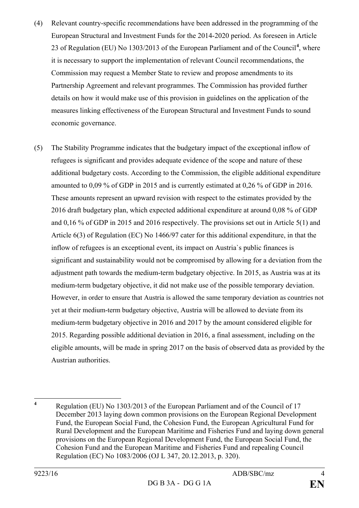- (4) Relevant country-specific recommendations have been addressed in the programming of the European Structural and Investment Funds for the 2014-2020 period. As foreseen in Article 23 of Regulation (EU) No 1303/2013 of the European Parliament and of the Council**[4](#page-3-0)** , where it is necessary to support the implementation of relevant Council recommendations, the Commission may request a Member State to review and propose amendments to its Partnership Agreement and relevant programmes. The Commission has provided further details on how it would make use of this provision in guidelines on the application of the measures linking effectiveness of the European Structural and Investment Funds to sound economic governance.
- (5) The Stability Programme indicates that the budgetary impact of the exceptional inflow of refugees is significant and provides adequate evidence of the scope and nature of these additional budgetary costs. According to the Commission, the eligible additional expenditure amounted to 0,09 % of GDP in 2015 and is currently estimated at 0,26 % of GDP in 2016. These amounts represent an upward revision with respect to the estimates provided by the 2016 draft budgetary plan, which expected additional expenditure at around 0,08 % of GDP and 0,16 % of GDP in 2015 and 2016 respectively. The provisions set out in Article 5(1) and Article 6(3) of Regulation (EC) No 1466/97 cater for this additional expenditure, in that the inflow of refugees is an exceptional event, its impact on Austria`s public finances is significant and sustainability would not be compromised by allowing for a deviation from the adjustment path towards the medium-term budgetary objective. In 2015, as Austria was at its medium-term budgetary objective, it did not make use of the possible temporary deviation. However, in order to ensure that Austria is allowed the same temporary deviation as countries not yet at their medium-term budgetary objective, Austria will be allowed to deviate from its medium-term budgetary objective in 2016 and 2017 by the amount considered eligible for 2015. Regarding possible additional deviation in 2016, a final assessment, including on the eligible amounts, will be made in spring 2017 on the basis of observed data as provided by the Austrian authorities.

<span id="page-3-0"></span>**<sup>4</sup>** Regulation (EU) No 1303/2013 of the European Parliament and of the Council of 17 December 2013 laying down common provisions on the European Regional Development Fund, the European Social Fund, the Cohesion Fund, the European Agricultural Fund for Rural Development and the European Maritime and Fisheries Fund and laying down general provisions on the European Regional Development Fund, the European Social Fund, the Cohesion Fund and the European Maritime and Fisheries Fund and repealing Council Regulation (EC) No 1083/2006 (OJ L 347, 20.12.2013, p. 320).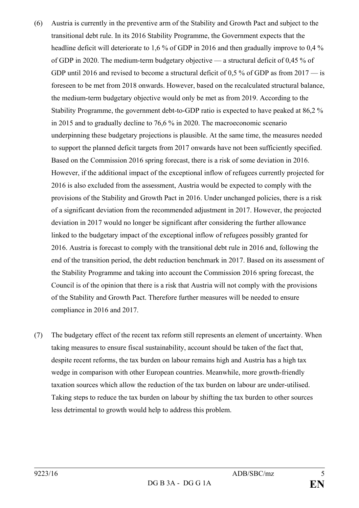- (6) Austria is currently in the preventive arm of the Stability and Growth Pact and subject to the transitional debt rule. In its 2016 Stability Programme, the Government expects that the headline deficit will deteriorate to 1,6 % of GDP in 2016 and then gradually improve to 0,4 % of GDP in 2020. The medium-term budgetary objective — a structural deficit of 0,45 % of GDP until 2016 and revised to become a structural deficit of 0.5 % of GDP as from 2017 — is foreseen to be met from 2018 onwards. However, based on the recalculated structural balance, the medium-term budgetary objective would only be met as from 2019. According to the Stability Programme, the government debt-to-GDP ratio is expected to have peaked at 86,2 % in 2015 and to gradually decline to 76,6 % in 2020. The macroeconomic scenario underpinning these budgetary projections is plausible. At the same time, the measures needed to support the planned deficit targets from 2017 onwards have not been sufficiently specified. Based on the Commission 2016 spring forecast, there is a risk of some deviation in 2016. However, if the additional impact of the exceptional inflow of refugees currently projected for 2016 is also excluded from the assessment, Austria would be expected to comply with the provisions of the Stability and Growth Pact in 2016. Under unchanged policies, there is a risk of a significant deviation from the recommended adjustment in 2017. However, the projected deviation in 2017 would no longer be significant after considering the further allowance linked to the budgetary impact of the exceptional inflow of refugees possibly granted for 2016. Austria is forecast to comply with the transitional debt rule in 2016 and, following the end of the transition period, the debt reduction benchmark in 2017. Based on its assessment of the Stability Programme and taking into account the Commission 2016 spring forecast, the Council is of the opinion that there is a risk that Austria will not comply with the provisions of the Stability and Growth Pact. Therefore further measures will be needed to ensure compliance in 2016 and 2017.
- (7) The budgetary effect of the recent tax reform still represents an element of uncertainty. When taking measures to ensure fiscal sustainability, account should be taken of the fact that, despite recent reforms, the tax burden on labour remains high and Austria has a high tax wedge in comparison with other European countries. Meanwhile, more growth-friendly taxation sources which allow the reduction of the tax burden on labour are under-utilised. Taking steps to reduce the tax burden on labour by shifting the tax burden to other sources less detrimental to growth would help to address this problem.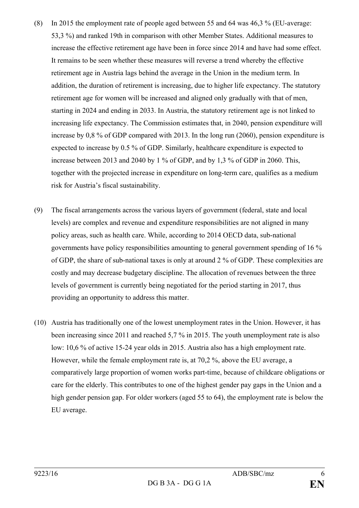- (8) In 2015 the employment rate of people aged between 55 and 64 was 46,3 % (EU-average: 53,3 %) and ranked 19th in comparison with other Member States. Additional measures to increase the effective retirement age have been in force since 2014 and have had some effect. It remains to be seen whether these measures will reverse a trend whereby the effective retirement age in Austria lags behind the average in the Union in the medium term. In addition, the duration of retirement is increasing, due to higher life expectancy. The statutory retirement age for women will be increased and aligned only gradually with that of men, starting in 2024 and ending in 2033. In Austria, the statutory retirement age is not linked to increasing life expectancy. The Commission estimates that, in 2040, pension expenditure will increase by 0,8 % of GDP compared with 2013. In the long run (2060), pension expenditure is expected to increase by 0.5 % of GDP. Similarly, healthcare expenditure is expected to increase between 2013 and 2040 by 1 % of GDP, and by 1,3 % of GDP in 2060. This, together with the projected increase in expenditure on long-term care, qualifies as a medium risk for Austria's fiscal sustainability.
- (9) The fiscal arrangements across the various layers of government (federal, state and local levels) are complex and revenue and expenditure responsibilities are not aligned in many policy areas, such as health care. While, according to 2014 OECD data, sub-national governments have policy responsibilities amounting to general government spending of 16 % of GDP, the share of sub-national taxes is only at around 2 % of GDP. These complexities are costly and may decrease budgetary discipline. The allocation of revenues between the three levels of government is currently being negotiated for the period starting in 2017, thus providing an opportunity to address this matter.
- (10) Austria has traditionally one of the lowest unemployment rates in the Union. However, it has been increasing since 2011 and reached 5,7 % in 2015. The youth unemployment rate is also low: 10,6 % of active 15-24 year olds in 2015. Austria also has a high employment rate. However, while the female employment rate is, at 70,2 %, above the EU average, a comparatively large proportion of women works part-time, because of childcare obligations or care for the elderly. This contributes to one of the highest gender pay gaps in the Union and a high gender pension gap. For older workers (aged 55 to 64), the employment rate is below the EU average.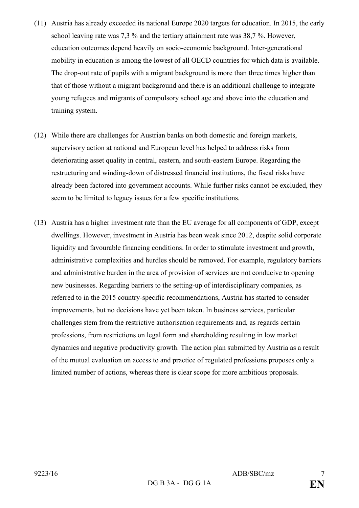- (11) Austria has already exceeded its national Europe 2020 targets for education. In 2015, the early school leaving rate was 7,3 % and the tertiary attainment rate was 38,7 %. However, education outcomes depend heavily on socio-economic background. Inter-generational mobility in education is among the lowest of all OECD countries for which data is available. The drop-out rate of pupils with a migrant background is more than three times higher than that of those without a migrant background and there is an additional challenge to integrate young refugees and migrants of compulsory school age and above into the education and training system.
- (12) While there are challenges for Austrian banks on both domestic and foreign markets, supervisory action at national and European level has helped to address risks from deteriorating asset quality in central, eastern, and south-eastern Europe. Regarding the restructuring and winding-down of distressed financial institutions, the fiscal risks have already been factored into government accounts. While further risks cannot be excluded, they seem to be limited to legacy issues for a few specific institutions.
- (13) Austria has a higher investment rate than the EU average for all components of GDP, except dwellings. However, investment in Austria has been weak since 2012, despite solid corporate liquidity and favourable financing conditions. In order to stimulate investment and growth, administrative complexities and hurdles should be removed. For example, regulatory barriers and administrative burden in the area of provision of services are not conducive to opening new businesses. Regarding barriers to the setting-up of interdisciplinary companies, as referred to in the 2015 country-specific recommendations, Austria has started to consider improvements, but no decisions have yet been taken. In business services, particular challenges stem from the restrictive authorisation requirements and, as regards certain professions, from restrictions on legal form and shareholding resulting in low market dynamics and negative productivity growth. The action plan submitted by Austria as a result of the mutual evaluation on access to and practice of regulated professions proposes only a limited number of actions, whereas there is clear scope for more ambitious proposals.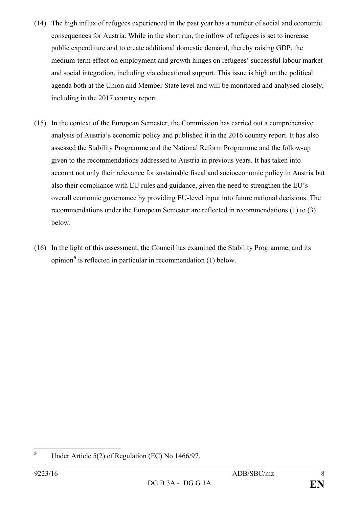- (14) The high influx of refugees experienced in the past year has a number of social and economic consequences for Austria. While in the short run, the inflow of refugees is set to increase public expenditure and to create additional domestic demand, thereby raising GDP, the medium-term effect on employment and growth hinges on refugees' successful labour market and social integration, including via educational support. This issue is high on the political agenda both at the Union and Member State level and will be monitored and analysed closely, including in the 2017 country report.
- (15) In the context of the European Semester, the Commission has carried out a comprehensive analysis of Austria's economic policy and published it in the 2016 country report. It has also assessed the Stability Programme and the National Reform Programme and the follow-up given to the recommendations addressed to Austria in previous years. It has taken into account not only their relevance for sustainable fiscal and socioeconomic policy in Austria but also their compliance with EU rules and guidance, given the need to strengthen the EU's overall economic governance by providing EU-level input into future national decisions. The recommendations under the European Semester are reflected in recommendations (1) to (3) below.
- (16) In the light of this assessment, the Council has examined the Stability Programme, and its opinion**[5](#page-7-0)** is reflected in particular in recommendation (1) below.

<span id="page-7-0"></span>**<sup>5</sup>** Under Article 5(2) of Regulation (EC) No 1466/97.